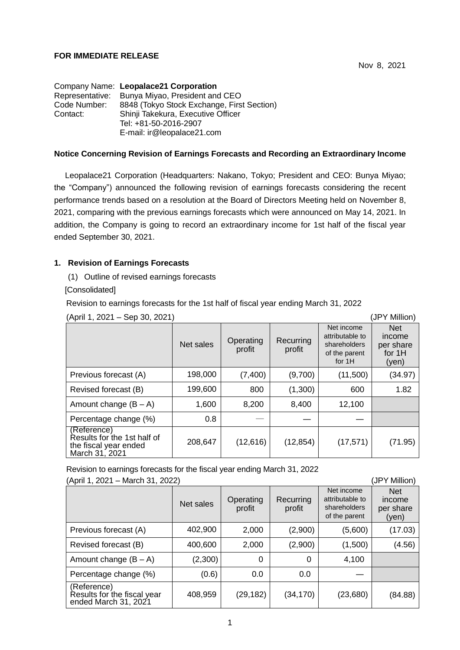## **FOR IMMEDIATE RELEASE**

|                 | Company Name: Leopalace21 Corporation      |
|-----------------|--------------------------------------------|
| Representative: | Bunya Miyao, President and CEO             |
| Code Number:    | 8848 (Tokyo Stock Exchange, First Section) |
| Contact:        | Shinji Takekura, Executive Officer         |
|                 | Tel: +81-50-2016-2907                      |
|                 | E-mail: ir@leopalace21.com                 |

#### **Notice Concerning Revision of Earnings Forecasts and Recording an Extraordinary Income**

Leopalace21 Corporation (Headquarters: Nakano, Tokyo; President and CEO: Bunya Miyao; the "Company") announced the following revision of earnings forecasts considering the recent performance trends based on a resolution at the Board of Directors Meeting held on November 8, 2021, comparing with the previous earnings forecasts which were announced on May 14, 2021. In addition, the Company is going to record an extraordinary income for 1st half of the fiscal year ended September 30, 2021.

### **1. Revision of Earnings Forecasts**

(1) Outline of revised earnings forecasts

[Consolidated]

Revision to earnings forecasts for the 1st half of fiscal year ending March 31, 2022

| (April 1, 2021 – Sep 30, 2021)<br>(JPY Million)                                       |           |                     |                     |                                                                          |                                                      |  |
|---------------------------------------------------------------------------------------|-----------|---------------------|---------------------|--------------------------------------------------------------------------|------------------------------------------------------|--|
|                                                                                       | Net sales | Operating<br>profit | Recurring<br>profit | Net income<br>attributable to<br>shareholders<br>of the parent<br>for 1H | <b>Net</b><br>income<br>per share<br>for 1H<br>(yen) |  |
| Previous forecast (A)                                                                 | 198,000   | (7,400)             | (9,700)             | (11,500)                                                                 | (34.97)                                              |  |
| Revised forecast (B)                                                                  | 199,600   | 800                 | (1,300)             | 600                                                                      | 1.82                                                 |  |
| Amount change $(B - A)$                                                               | 1,600     | 8,200               | 8,400               | 12,100                                                                   |                                                      |  |
| Percentage change (%)                                                                 | 0.8       |                     |                     |                                                                          |                                                      |  |
| (Reference)<br>Results for the 1st half of<br>the fiscal year ended<br>March 31, 2021 | 208,647   | (12,616)            | (12, 854)           | (17, 571)                                                                | (71.95)                                              |  |

 $(4 \text{ pril } 1, 2021 \quad \text{Cen } 20, 2021)$  (JPY Million)

Revision to earnings forecasts for the fiscal year ending March 31, 2022

| (April 1, 2021 – March 31, 2022)<br>(JPY Million)                  |           |                     |                     |                                                                |                                            |  |
|--------------------------------------------------------------------|-----------|---------------------|---------------------|----------------------------------------------------------------|--------------------------------------------|--|
|                                                                    | Net sales | Operating<br>profit | Recurring<br>profit | Net income<br>attributable to<br>shareholders<br>of the parent | <b>Net</b><br>income<br>per share<br>(yen) |  |
| Previous forecast (A)                                              | 402,900   | 2,000               | (2,900)             | (5,600)                                                        | (17.03)                                    |  |
| Revised forecast (B)                                               | 400,600   | 2,000               | (2,900)             | (1,500)                                                        | (4.56)                                     |  |
| Amount change $(B - A)$                                            | (2,300)   | 0                   | $\Omega$            | 4,100                                                          |                                            |  |
| Percentage change (%)                                              | (0.6)     | 0.0                 | 0.0                 |                                                                |                                            |  |
| (Reference)<br>Results for the fiscal year<br>ended March 31, 2021 | 408,959   | (29, 182)           | (34, 170)           | (23,680)                                                       | (84.88)                                    |  |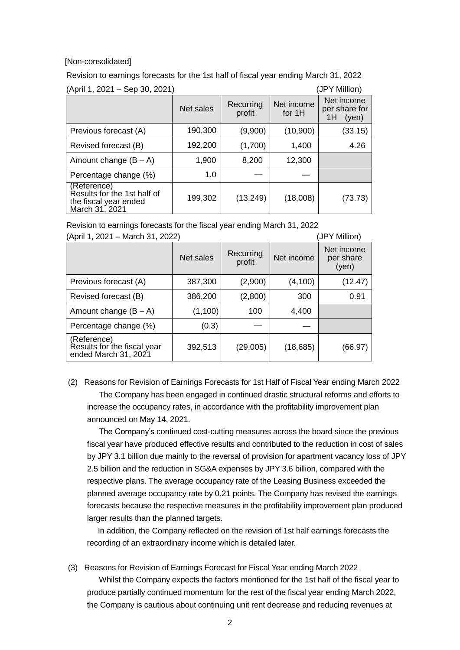#### [Non-consolidated]

Revision to earnings forecasts for the 1st half of fiscal year ending March 31, 2022

| (April 1, 2021 – Sep 30, 2021)                                                        |           |                     |                      | (JPY Million)                              |
|---------------------------------------------------------------------------------------|-----------|---------------------|----------------------|--------------------------------------------|
|                                                                                       | Net sales | Recurring<br>profit | Net income<br>for 1H | Net income<br>per share for<br>1H<br>(yen) |
| Previous forecast (A)                                                                 | 190,300   | (9,900)             | (10,900)             | (33.15)                                    |
| Revised forecast (B)                                                                  | 192,200   | (1,700)             | 1,400                | 4.26                                       |
| Amount change $(B - A)$                                                               | 1,900     | 8,200               | 12,300               |                                            |
| Percentage change (%)                                                                 | 1.0       |                     |                      |                                            |
| (Reference)<br>Results for the 1st half of<br>the fiscal year ended<br>March 31, 2021 | 199,302   | (13, 249)           | (18,008)             | (73.73)                                    |

Revision to earnings forecasts for the fiscal year ending March 31, 2022

| (April 1, 2021 – March 31, 2022)                                   |           |                     |            | (JPY Million)                    |  |
|--------------------------------------------------------------------|-----------|---------------------|------------|----------------------------------|--|
|                                                                    | Net sales | Recurring<br>profit | Net income | Net income<br>per share<br>(yen) |  |
| Previous forecast (A)                                              | 387,300   | (2,900)             | (4,100)    | (12.47)                          |  |
| Revised forecast (B)                                               | 386,200   | (2,800)             | 300        | 0.91                             |  |
| Amount change $(B - A)$                                            | (1,100)   | 100                 | 4,400      |                                  |  |
| Percentage change (%)                                              | (0.3)     |                     |            |                                  |  |
| (Reference)<br>Results for the fiscal year<br>ended March 31, 2021 | 392,513   | (29,005)            | (18, 685)  | (66.97)                          |  |

(2) Reasons for Revision of Earnings Forecasts for 1st Half of Fiscal Year ending March 2022 The Company has been engaged in continued drastic structural reforms and efforts to increase the occupancy rates, in accordance with the profitability improvement plan announced on May 14, 2021.

The Company's continued cost-cutting measures across the board since the previous fiscal year have produced effective results and contributed to the reduction in cost of sales by JPY 3.1 billion due mainly to the reversal of provision for apartment vacancy loss of JPY 2.5 billion and the reduction in SG&A expenses by JPY 3.6 billion, compared with the respective plans. The average occupancy rate of the Leasing Business exceeded the planned average occupancy rate by 0.21 points. The Company has revised the earnings forecasts because the respective measures in the profitability improvement plan produced larger results than the planned targets.

In addition, the Company reflected on the revision of 1st half earnings forecasts the recording of an extraordinary income which is detailed later.

(3) Reasons for Revision of Earnings Forecast for Fiscal Year ending March 2022 Whilst the Company expects the factors mentioned for the 1st half of the fiscal year to produce partially continued momentum for the rest of the fiscal year ending March 2022, the Company is cautious about continuing unit rent decrease and reducing revenues at